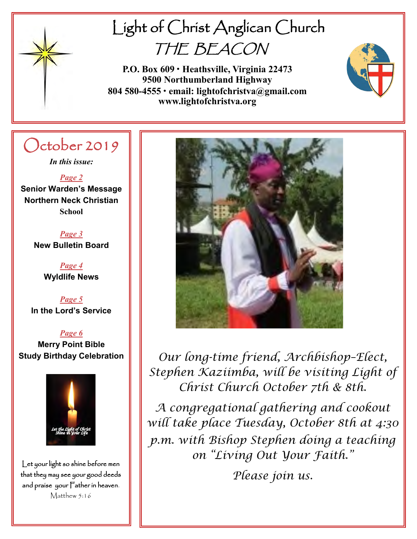

# Light of Christ Anglican Church THE BEACON

**P.O. Box 609 • Heathsville, Virginia 22473 9500 Northumberland Highway 804 580-4555 • email: lightofchristva@gmail.com www.lightofchristva.org**

# October 2019

*In this issue:*

*Page 2* **Senior Warden's Message Northern Neck Christian School**

> *Page 3* **New Bulletin Board**

> > *Page 4* **Wyldlife News**

*Page 5* **In the Lord's Service**

*Page 6* **Merry Point Bible Study Birthday Celebration**



Let your light so shine before men that they may see your good deeds and praise your Father in heaven. Matthew 5:16



*Our long-time friend, Archbishop–Elect, Stephen Kaziimba, will be visiting Light of Christ Church October 7th & 8th.* 

*A congregational gathering and cookout will take place Tuesday, October 8th at 4:30 p.m. with Bishop Stephen doing a teaching on "Living Out Your Faith."*

*Please join us.*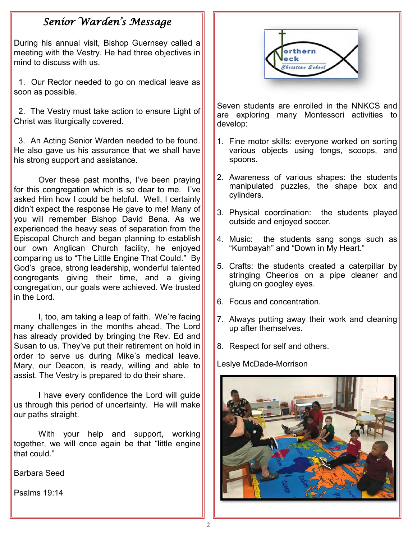# *Senior Warden's Message*

During his annual visit, Bishop Guernsey called a meeting with the Vestry. He had three objectives in mind to discuss with us.

1. Our Rector needed to go on medical leave as soon as possible.

2. The Vestry must take action to ensure Light of Christ was liturgically covered.

3. An Acting Senior Warden needed to be found. He also gave us his assurance that we shall have his strong support and assistance.

Over these past months, I've been praying for this congregation which is so dear to me. I've asked Him how I could be helpful. Well, I certainly didn't expect the response He gave to me! Many of you will remember Bishop David Bena. As we experienced the heavy seas of separation from the Episcopal Church and began planning to establish our own Anglican Church facility, he enjoyed comparing us to "The Little Engine That Could." By God's grace, strong leadership, wonderful talented congregants giving their time, and a giving congregation, our goals were achieved. We trusted in the Lord.

I, too, am taking a leap of faith. We're facing many challenges in the months ahead. The Lord has already provided by bringing the Rev. Ed and Susan to us. They've put their retirement on hold in order to serve us during Mike's medical leave. Mary, our Deacon, is ready, willing and able to assist. The Vestry is prepared to do their share.

I have every confidence the Lord will guide us through this period of uncertainty. He will make our paths straight.

With your help and support, working together, we will once again be that "little engine that could."

Barbara Seed

Psalms 19:14



Seven students are enrolled in the NNKCS and are exploring many Montessori activities to develop:

- 1. Fine motor skills: everyone worked on sorting various objects using tongs, scoops, and spoons.
- 2. Awareness of various shapes: the students manipulated puzzles, the shape box and cylinders.
- 3. Physical coordination: the students played outside and enjoyed soccer.
- 4. Music: the students sang songs such as "Kumbayah" and "Down in My Heart."
- 5. Crafts: the students created a caterpillar by stringing Cheerios on a pipe cleaner and gluing on googley eyes.
- 6. Focus and concentration.
- 7. Always putting away their work and cleaning up after themselves.
- 8. Respect for self and others.

Leslye McDade-Morrison

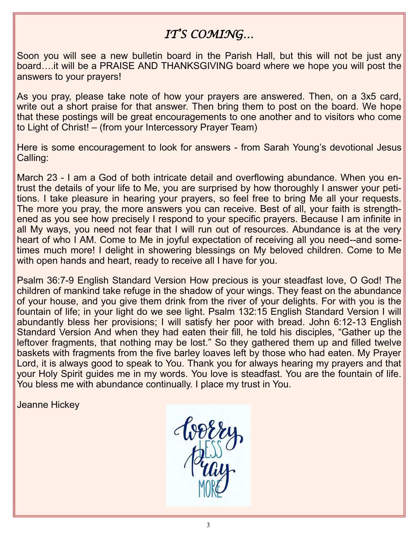# *IT'S COMING…*

Soon you will see a new bulletin board in the Parish Hall, but this will not be just any board….it will be a PRAISE AND THANKSGIVING board where we hope you will post the answers to your prayers!

As you pray, please take note of how your prayers are answered. Then, on a 3x5 card, write out a short praise for that answer. Then bring them to post on the board. We hope that these postings will be great encouragements to one another and to visitors who come to Light of Christ! – (from your Intercessory Prayer Team)

Here is some encouragement to look for answers - from Sarah Young's devotional Jesus Calling:

March 23 - I am a God of both intricate detail and overflowing abundance. When you entrust the details of your life to Me, you are surprised by how thoroughly I answer your petitions. I take pleasure in hearing your prayers, so feel free to bring Me all your requests. The more you pray, the more answers you can receive. Best of all, your faith is strengthened as you see how precisely I respond to your specific prayers. Because I am infinite in all My ways, you need not fear that I will run out of resources. Abundance is at the very heart of who I AM. Come to Me in joyful expectation of receiving all you need--and sometimes much more! I delight in showering blessings on My beloved children. Come to Me with open hands and heart, ready to receive all I have for you.

Psalm 36:7-9 English Standard Version How precious is your steadfast love, O God! The children of mankind take refuge in the shadow of your wings. They feast on the abundance of your house, and you give them drink from the river of your delights. For with you is the fountain of life; in your light do we see light. Psalm 132:15 English Standard Version I will abundantly bless her provisions; I will satisfy her poor with bread. John 6:12-13 English Standard Version And when they had eaten their fill, he told his disciples, "Gather up the leftover fragments, that nothing may be lost." So they gathered them up and filled twelve baskets with fragments from the five barley loaves left by those who had eaten. My Prayer Lord, it is always good to speak to You. Thank you for always hearing my prayers and that your Holy Spirit guides me in my words. You love is steadfast. You are the fountain of life. You bless me with abundance continually. I place my trust in You.

Jeanne Hickey

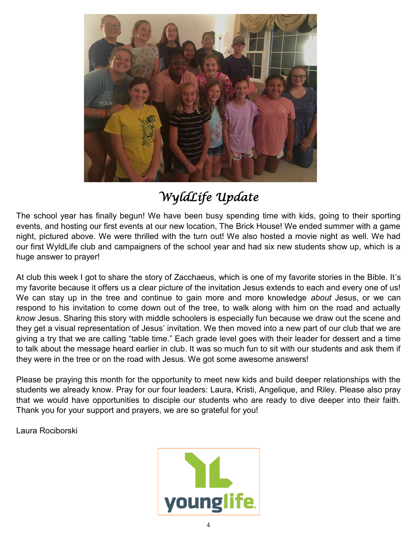

# *WyldLife Update*

The school year has finally begun! We have been busy spending time with kids, going to their sporting events, and hosting our first events at our new location, The Brick House! We ended summer with a game night, pictured above. We were thrilled with the turn out! We also hosted a movie night as well. We had our first WyldLife club and campaigners of the school year and had six new students show up, which is a huge answer to prayer!

At club this week I got to share the story of Zacchaeus, which is one of my favorite stories in the Bible. It's my favorite because it offers us a clear picture of the invitation Jesus extends to each and every one of us! We can stay up in the tree and continue to gain more and more knowledge *about* Jesus, or we can respond to his invitation to come down out of the tree, to walk along with him on the road and actually *know* Jesus. Sharing this story with middle schoolers is especially fun because we draw out the scene and they get a visual representation of Jesus' invitation. We then moved into a new part of our club that we are giving a try that we are calling "table time." Each grade level goes with their leader for dessert and a time to talk about the message heard earlier in club. It was so much fun to sit with our students and ask them if they were in the tree or on the road with Jesus. We got some awesome answers!

Please be praying this month for the opportunity to meet new kids and build deeper relationships with the students we already know. Pray for our four leaders: Laura, Kristi, Angelique, and Riley. Please also pray that we would have opportunities to disciple our students who are ready to dive deeper into their faith. Thank you for your support and prayers, we are so grateful for you!

Laura Rociborski

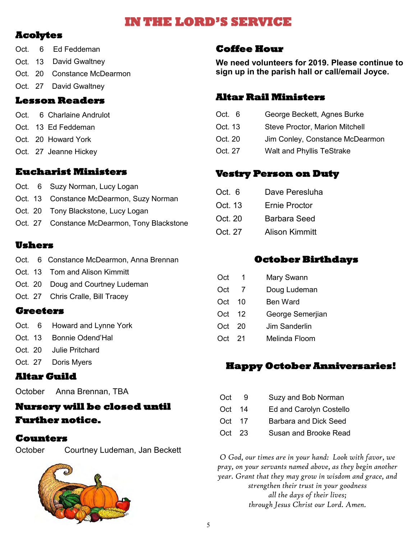# **IN THE LORD'S SERVICE**

### **Acolytes**

- Oct. 6 Ed Feddeman
- Oct. 13 David Gwaltney
- Oct. 20 Constance McDearmon
- Oct. 27 David Gwaltney

#### **Lesson Readers**

- Oct. 6 Charlaine Andrulot
- Oct. 13 Ed Feddeman
- Oct. 20 Howard York
- Oct. 27 Jeanne Hickey

#### **Eucharist Ministers**

- Oct. 6 Suzy Norman, Lucy Logan
- Oct. 13 Constance McDearmon, Suzy Norman
- Oct. 20 Tony Blackstone, Lucy Logan
- Oct. 27 Constance McDearmon, Tony Blackstone

#### **Ushers**

- Oct. 6 Constance McDearmon, Anna Brennan
- Oct. 13 Tom and Alison Kimmitt
- Oct. 20 Doug and Courtney Ludeman
- Oct. 27 Chris Cralle, Bill Tracey

#### **Greeters**

- Oct. 6 Howard and Lynne York
- Oct. 13 Bonnie Odend'Hal
- Oct. 20 Julie Pritchard
- Oct. 27 Doris Myers

#### **Altar Guild**

October Anna Brennan, TBA

## **Nursery will be closed until Further notice.**

#### **Counters**

October Courtney Ludeman, Jan Beckett



#### **Coffee Hour**

**We need volunteers for 2019. Please continue to sign up in the parish hall or call/email Joyce.**

#### **Altar Rail Ministers**

- Oct. 6 George Beckett, Agnes Burke
- Oct. 13 Steve Proctor, Marion Mitchell
- Oct. 20 Jim Conley, Constance McDearmon
- Oct. 27 Walt and Phyllis TeStrake

#### **Vestry Person on Duty**

- Oct. 6 Dave Peresluha
- Oct. 13 Ernie Proctor
- Oct. 20 Barbara Seed
- Oct. 27 Alison Kimmitt

#### **October Birthdays**

|     | Mary Swann       |
|-----|------------------|
| -7  | Doug Ludeman     |
| 10  | <b>Ben Ward</b>  |
| -12 | George Semerjian |
| 20  | Jim Sanderlin    |
|     | Melinda Floom    |
|     | Oct 21           |

## **Happy October Anniversaries!**

- Oct 9 Suzy and Bob Norman
- Oct 14 Ed and Carolyn Costello
- Oct 17 Barbara and Dick Seed
- Oct 23 Susan and Brooke Read

*O God, our times are in your hand: Look with favor, we pray, on your servants named above, as they begin another year. Grant that they may grow in wisdom and grace, and strengthen their trust in your goodness all the days of their lives; through Jesus Christ our Lord. Amen.*